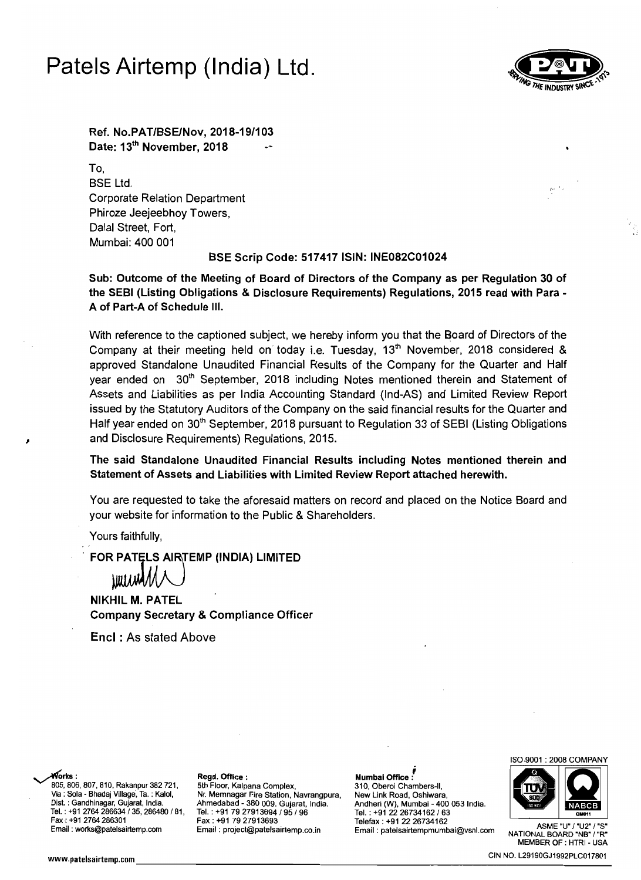## Patels Airtemp (India) Ltd.



Ref. No.PAT/BSElNov, 2018-19/103 Date: 13<sup>th</sup> November, 2018

To, BSE Ltd. Corporate Relation Department Phiroze Jeejeebhoy Towers, Dalal Street, Fort, Mumbai: 400 001

## BSE Scrip Code: 517417 ISIN: INE082C01024

Sub: Outcome of the Meeting of Board of Directors of the Company as per Regulation 30 of the SEBI (Listing Obligations & Disclosure Requirements) Regulations, 2015 read with Para A of Part-A of Schedule III.

With reference to the captioned subject, we hereby inform you that the Board of Directors of the Company at their meeting held on today i.e. Tuesday,  $13<sup>th</sup>$  November, 2018 considered & approved Standalone Unaudited Financial Results of the Company for the Quarter and Half year ended on 30<sup>th</sup> September, 2018 including Notes mentioned therein and Statement of Assets and Liabilities as per India Accounting Standard (Ind-AS) and Limited Review Report issued by the Statutory Auditors of the Company on the said financial results for the Quarter and Half year ended on 30<sup>th</sup> September, 2018 pursuant to Regulation 33 of SEBI (Listing Obligations and Disclosure Requirements) Regulations, 2015.

The said Standalone Unaudited Financial Results including Notes mentioned therein and Statement of Assets and Liabilities with Limited Review Report attached herewith.

You are requested to take the aforesaid matters on record and placed on the Notice Board and your website for information to the Public & Shareholders.

Yours faithfully,

FOR PATELS AIRTEMP (INDIA) LIMITED

**\WIJJMA/L** 

NIKHIL M. PATEL Company Secretary & Compliance Officer

Encl : As stated Above

805, 806, 807, 810, Rakanpur 382 721, 5th Floor, Kalpana Complex, 310, Oberoi Chambers-II,<br>Via : Sola - Bhadaj Village, Ta. : Kalol, Nr. Memnagar Fire Station, Navrangpura, New Link Road, Oshiwara,

Via : Sola - Bhadaj Village, Ta. : Kalol, Nr. Memnagar Fire Station, Navrangpura,<br>Dist. : Gandhinagar, Gujarat, India. Ahmedabad - 380 009. Gujarat, India. Dist. : Gandhinagar, Gujarat, India. Ahmedabad - 380 009. Gujarat, India. Andheri (W), Mumbai - 400 053 India. Tel. : +91 2764 286634 / 35, 286480 / 81, Tel. : +91 79 27913694 / 95 / 96 Tel. : +91 272 26734162<br>Fax : +91 79 27913693 Telefax : +91 22 26734162

~rks: Regd. Office: Mumbai Office l Fax: +91 2264 28636831 ASME "U" I"STAT: 51 286362 Email: project@patelsairtemp.co.in ASME "U" I"U2" / "S" Email: project@patelsairtemp.co.in Email: patelsairtempmumbai@vsnl.com NATIONAL ROARD "NS" '"R"



MEMBER OF : HTRI - USA www.patelsairtemp.com \_\_\_\_\_\_\_\_\_\_\_\_\_\_\_\_\_\_\_\_\_\_\_\_\_\_\_C\_.\_N\_NO\_.\_12\_9\_19\_0\_G\_J1\_99\_2\_Pl\_C\_01\_7\_80\_1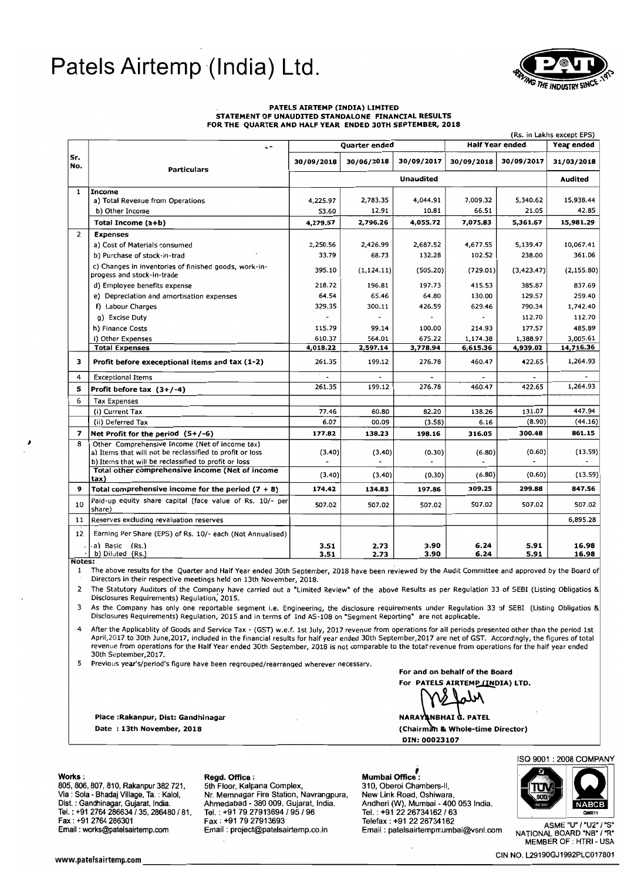# Patels Airtemp (India) Ltd.



## PATElS AIRTEMP (INDIA) LIMITED STATEMENT OF UNAUDITED STANDALONE FINANCIAL RESULTS FOR THE QUARTER AND HALF YEAR ENDED 30TH SEPTEMBER, 2018

|                          |                                                                                                            | <b>Quarter ended</b> |              |              | <b>Half Year ended</b> |              | (Rs. in Lakhs except EPS)<br>Year ended |  |
|--------------------------|------------------------------------------------------------------------------------------------------------|----------------------|--------------|--------------|------------------------|--------------|-----------------------------------------|--|
| Sr.<br>No.               | $\cdot$<br><b>Particulars</b>                                                                              |                      |              |              |                        |              |                                         |  |
|                          |                                                                                                            | 30/09/2018           | 30/06/2018   | 30/09/2017   | 30/09/2018             | 30/09/2017   | 31/03/2018                              |  |
|                          |                                                                                                            | <b>Unaudited</b>     |              |              |                        | Audited      |                                         |  |
| 1                        | <b>Income</b>                                                                                              |                      |              |              |                        |              |                                         |  |
|                          | a) Total Revenue from Operations                                                                           | 4,225.97             | 2,783.35     | 4,044.91     | 7,009.32               | 5,340.62     | 15,938.44                               |  |
|                          | b) Other Income                                                                                            | 53.60                | 12.91        | 10.81        | 66.51                  | 21.05        | 42.85                                   |  |
|                          | Total Income (a+b)                                                                                         | 4,279.57             | 2,796.26     | 4,055.72     | 7,075.83               | 5,361.67     | 15,981.29                               |  |
| $\overline{2}$           | <b>Expenses</b>                                                                                            |                      |              |              |                        |              |                                         |  |
|                          | a) Cost of Materials consumed                                                                              | 2,250.56             | 2,426.99     | 2,687.52     | 4,677.55               | 5,139.47     | 10,067.41                               |  |
|                          | b) Purchase of stock-in-trad                                                                               | 33.79                | 68.73        | 132.28       | 102.52                 | 238.00       | 361.06                                  |  |
|                          | c) Changes in inventories of finished goods, work-in-<br>progess and stock-in-trade                        | 395.10               | (1, 124.11)  | (505.20)     | (729.01)               | (3, 423.47)  | (2, 155.80)                             |  |
|                          | d) Employee benefits expense                                                                               | 218.72               | 196.81       | 197.73       | 415.53                 | 385.87       | 837.69                                  |  |
|                          | e) Depreciation and amortisation expenses                                                                  | 64.54                | 65.46        | 64.80        | 130.00                 | 129.57       | 259.40                                  |  |
|                          | f) Labour Charges                                                                                          | 329.35               | 300.11       | 426.59       | 629.46                 | 790.34       | 1,742.40                                |  |
|                          | q) Excise Duty                                                                                             |                      |              |              |                        | 112.70       | 112.70                                  |  |
|                          | h) Finance Costs                                                                                           | 115.79               | 99.14        | 100.00       | 214.93                 | 177.57       | 485.89                                  |  |
|                          | i) Other Expenses                                                                                          | 610.37               | 564.01       | 675.22       | 1,174.38               | 1,388.97     | 3,005.61                                |  |
|                          | <b>Total Expenses</b>                                                                                      | 4,018.22             | 2,597.14     | 3,778.94     | 6,615.36               | 4,939.02     | 14,716.36                               |  |
| 3                        | Profit before execeptional items and tax (1-2)                                                             | 261.35               | 199.12       | 276.78       | 460.47                 | 422.65       | 1,264.93                                |  |
| 4                        | <b>Exceptional Items</b>                                                                                   |                      |              |              |                        |              |                                         |  |
| 5                        | Profit before tax $(3+/-4)$                                                                                | 261.35               | 199.12       | 276.78       | 460.47                 | 422.65       | 1,264.93                                |  |
| 6                        | <b>Tax Expenses</b>                                                                                        |                      |              |              |                        |              |                                         |  |
|                          | (i) Current Tax                                                                                            | 77.46                | 60.80        | 82.20        | 138.26                 | 131.07       | 447.94                                  |  |
|                          | (ii) Deferred Tax                                                                                          | 6.07                 | 00.09        | (3.58)       | 6.16                   | (8.90)       | (44.16)                                 |  |
| $\overline{\phantom{a}}$ | Net Profit for the period (5+/-6)                                                                          | 177.82               | 138.23       | 198.16       | 316.05                 | 300.48       | 861.15                                  |  |
| 8<br>9                   | Other Comprehensive Income (Net of income tax)<br>a) Items that will not be reclassified to profit or loss | (3.40)               | (3.40)       | (0.30)       | (6.80)                 | (0.60)       | (13.59)                                 |  |
|                          | b) Items that will be reclassified to profit or loss                                                       |                      |              |              |                        |              | $\overline{\phantom{a}}$                |  |
|                          | Total other comprehensive income (Net of income<br>tax)                                                    | (3.40)               | (3.40)       | (0.30)       | (6.80)                 | (0.60)       | (13.59)                                 |  |
|                          | Total comprehensive income for the period $(7 + 8)$                                                        | 174.42               | 134.83       | 197.86       | 309.25                 | 299.88       | 847.56                                  |  |
| 10                       | Paid-up equity share capital (face value of Rs. 10/- per<br>share)                                         | 507.02               | 507.02       | 507.02       | 507.02                 | 507.02       | 507.02                                  |  |
| 11                       | Reserves excluding revaluation reserves                                                                    |                      |              |              |                        |              | 6,895.28                                |  |
| 12                       | Earning Per Share (EPS) of Rs. 10/- each (Not Annualised)                                                  |                      |              |              |                        |              |                                         |  |
|                          | a) Basic (Rs.)<br>b) Diluted (Rs.)                                                                         | 3.51<br>3.51         | 2.73<br>2.73 | 3.90<br>3.90 | 6.24<br>6.24           | 5.91<br>5.91 | 16.98<br>16.98                          |  |

Notes:

1 The above results for the Quarter and Half Year ended 30th September, 201S have been reviewed by the Audit Committee and approved by the Board of Directors in their respective meetings held on 13th November, 2018.

2 The Statutory Auditors of the Company have carried out a "Limited Review' of the above Results as per Regulation 33 of SEBI (Listing Obligatios & Disclosures Requirements) Regulation; 2015.

As the Company has only one reportable segment i.e. Engineering, the disclosure requirements under Regulation 33 of SEBI (Listing Obligatios &<br>Disclosures Requirements) Regulation, 2015 and in terms of Ind AS-108 on "Segme

4 After the Applicablity of Goods and Service Tax - (GST) w.e.f. 1st July, 2017 revenue from operations for all periods presented other than the period 1st April,2017 to 30th June,2017, included in the financial results for half year ended 30th September,20l7 are net of GST. Accordingly, the figures of total revenue from operations for the Half Year ended 30th September, 2018 is not comparable to the totar revenue from operations for the half year ended 30th September,20l7.

5 Previous year's/period's figure have been regrouped/rearranged wherever necessary.

For and on behalf of the Board For PATELS AIRTEMP (INDIA) LTD.

2018 (Chairm lit Whole-time Director) NARAYANBHAI G. PATEL DIN: 00023107

The Works: Mumbai Office : Regd. Office : Mumbai Office :<br>10. Book, 806, 807, 810, Rakanpur 382 721, 5th Floor, Kalpana Complex, 310, Oberoi Chai 805, 806, 807, 810, Rakanpur 382 721, 5th Floor, Kalpana Complex, 310, Oberoi Chambers-II, Via : Sola - Bhadaj Village, Ta. : Kalol, Nr. Memnagar Fire Station, Navrangpura, New Link Road, Oshiwara, Tel. : +91 2764 286634 / 35, 286480 / 81, **Tel. : +91 79 27913694 / 95 / 96**<br>Fax : +91 2764 286301 **Fax : +91 79 27913693** 

Date : 13th November,

Place :Rakanpur, Dist: Gandhinagar

Via : Sola - Bhadaj Village, Ta. : Kalol, Nr. Memnagar Fire Station, Navrangpura, New Link Road, New Link Road, Oshiwara, Oshiwara, New Link Road, Oshiwara, New Link Road, Oshiwara, Oshiwara, India. Dist. : Gandhinagar, Gujarat, India. Ahmedabad - 380009. Gujarat, India. Andheri (W), Mumbai - 400 053 India. Fax: +91 2764 286301 Fax: +91 79 27913693 Fax: +91 79 elefax: +91 22 26734162<br>Email: works@patelsairtemp.com Email: project@patelsairtemp.co.in Email: patelsairtempmumbai@vsnl.com

310, Oberoi Chambers-II,



ASME "U" / "U2" / "S"<br>"NATIONAL BOARD "NB" / "R MEMBER OF : HTRI - USA

www.paesHlremp.com . <sup>t</sup> \_\_\_\_\_\_\_\_\_\_\_\_\_\_\_\_\_\_\_\_\_\_\_\_\_\_\_\_\_\_\_\_\_\_\_\_\_\_\_\_\_\_\_\_\_\_ CIN NO. l29190GJ1992PLC017801 \_ <sup>t</sup><sup>I</sup>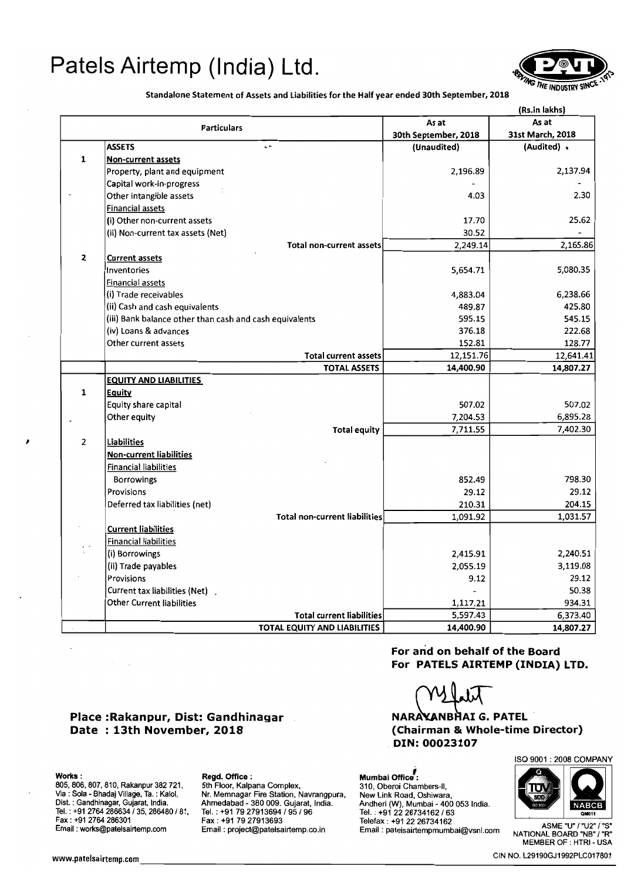# Patels Airtemp (India) Ltd.



Standalone Statement of Assets and Liabilities for the Half year ended 30th September, 2018

|                                                         | (Rs.in lakhs)        |                  |  |
|---------------------------------------------------------|----------------------|------------------|--|
| <b>Particulars</b>                                      | As at                | As at            |  |
|                                                         | 30th September, 2018 | 31st March, 2018 |  |
| <b>ASSETS</b><br>$\ddot{\phantom{0}}$                   | (Unaudited)          | (Audited) .      |  |
| $\mathbf{1}$<br><b>Non-current assets</b>               |                      |                  |  |
| Property, plant and equipment                           | 2,196.89             | 2,137.94         |  |
| Capital work-in-progress                                |                      |                  |  |
| Other intangible assets                                 | 4.03                 | 2.30             |  |
| <b>Financial assets</b>                                 |                      |                  |  |
| (i) Other non-current assets                            | 17.70                | 25.62            |  |
| (ii) Non-current tax assets (Net)                       | 30.52                |                  |  |
| <b>Total non-current assets</b>                         | 2,249.14             | 2,165.86         |  |
| $\mathbf{z}$<br><b>Current assets</b>                   |                      |                  |  |
| Inventories                                             | 5,654.71             | 5,080.35         |  |
| Financial assets                                        |                      |                  |  |
| (i) Trade receivables                                   | 4,883.04             | 6,238.66         |  |
| (ii) Cash and cash equivalents                          | 489.87               | 425.80           |  |
| (iii) Bank balance other than cash and cash equivalents | 595.15               | 545.15           |  |
| (iv) Loans & advances                                   | 376.18               | 222.68           |  |
| Other current assets                                    | 152.81               | 128.77           |  |
| <b>Total current assets</b>                             | 12,151.76            | 12,641.41        |  |
| <b>TOTAL ASSETS</b>                                     | 14,400.90            | 14,807.27        |  |
| <b>EQUITY AND LIABILITIES</b>                           |                      |                  |  |
| 1<br>Equity                                             |                      |                  |  |
| Equity share capital                                    | 507.02               | 507.02           |  |
| Other equity                                            | 7,204.53             | 6,895.28         |  |
| <b>Total equity</b>                                     | 7,711.55             | 7,402.30         |  |
| $\overline{2}$<br>Liabilities                           |                      |                  |  |
| <b>Non-current liabilities</b>                          |                      |                  |  |
| <b>Financial liabilities</b>                            |                      |                  |  |
| <b>Borrowings</b>                                       | 852.49               | 798.30           |  |
| Provisions                                              | 29.12                | 29.12            |  |
| Deferred tax liabilities (net)                          | 210.31               | 204.15           |  |
| <b>Total non-current liabilities</b>                    | 1,091.92             | 1,031.57         |  |
| <b>Current liabilities</b>                              |                      |                  |  |
| <b>Financial liabilities</b>                            |                      |                  |  |
| (i) Borrowings                                          | 2,415.91             | 2,240.51         |  |
| (ii) Trade payables                                     | 2,055.19             | 3,119.08         |  |
| Provisions                                              | 9.12                 | 29.12            |  |
| Current tax liabilities (Net).                          |                      | 50.38            |  |
| <b>Other Current liabilities</b>                        | 1,117.21             | 934.31           |  |
| <b>Total current liabilities</b>                        | 5,597.43             | 6,373.40         |  |
| TOTAL EQUITY AND LIABILITIES                            | 14,400.90            | 14,807.27        |  |

Date : 13th November, 2018 Place :Rakanpur, Dist: Gandhinagar

I

Works : Regd. Office : Regd. Office : Regd. Office : Mumbai Office<sup>7</sup><br>805, 806, 807, 810, Rakanpur 382 721, 5th Floor, Kalpana Complex, 310, Oberoi Char 805, 806, 807, 810, Rakanpur 382 721,<br>Via : Sola - Bhadaj Village, Ta. : Kalol,

Nr. Memnagar Fire Station, Navrangpura,<br>Ahmedabad - 380 009. Gujarat, India. Dist. : Gandhinagar, Gujarat, India. Ahmedabad - 380 009. Gujarat, India. Andheri (W), Mumbai - 400 053 India.<br>Tel. : +91 2764 286634 / 35, 286480 / 81, Tel. : +91 79 27913694 / 95 / 96 Tel. : +91 22 26734162 / 63

For and on behalf of the Board For PATELS AIRTEMP (INDIA) LTD.

NARAXANBHAI G. PATEL (Chairman &. Whole-time Director) DIN: 00023107

310, Oberoi Chambers-II, New Link Road, Oshiwara,

Andheri (W), Mumbai - 400 053 India. Tel. : +91 2764 286634 / 35, 286480 / 81, Tel. : +91 79 27913694 / 95 / 96 Tel. : +91 22 26734162 / 63 Email:<br>Fax : +91 79 27913693 Telefax : +91 22 26734162 Telefax : +91 22 26734162<br>Email : works@patelsairtemp.com Email



MEMBER OF : HTRI- USA

www.patelsairtemp.com \_\_\_\_\_\_\_\_\_\_\_\_\_\_\_\_\_\_\_\_\_\_\_\_\_\_\_\_\_\_\_C\_IN\_N\_O\_,\_L\_29\_1\_90\_G\_J\_199\_2\_PL\_C\_O\_17\_8\_0\_1